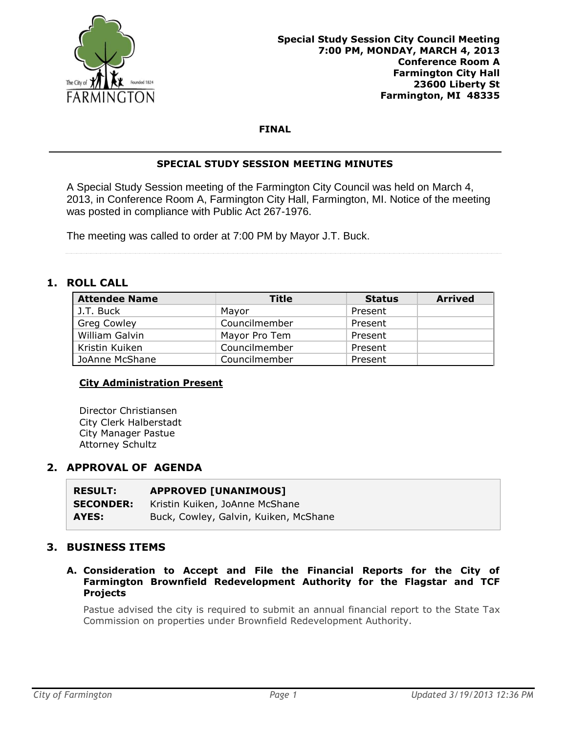

## **FINAL**

## **SPECIAL STUDY SESSION MEETING MINUTES**

A Special Study Session meeting of the Farmington City Council was held on March 4, 2013, in Conference Room A, Farmington City Hall, Farmington, MI. Notice of the meeting was posted in compliance with Public Act 267-1976.

The meeting was called to order at 7:00 PM by Mayor J.T. Buck.

## **1. ROLL CALL**

| <b>Attendee Name</b>  | <b>Title</b>  | <b>Status</b> | <b>Arrived</b> |
|-----------------------|---------------|---------------|----------------|
| J.T. Buck             | Mayor         | Present       |                |
| <b>Greg Cowley</b>    | Councilmember | Present       |                |
| <b>William Galvin</b> | Mayor Pro Tem | Present       |                |
| Kristin Kuiken        | Councilmember | Present       |                |
| JoAnne McShane        | Councilmember | Present       |                |

### **City Administration Present**

Director Christiansen City Clerk Halberstadt City Manager Pastue Attorney Schultz

## **2. APPROVAL OF AGENDA**

| <b>RESULT:</b>   | <b>APPROVED [UNANIMOUS]</b>           |
|------------------|---------------------------------------|
| <b>SECONDER:</b> | Kristin Kuiken, JoAnne McShane        |
| AYES:            | Buck, Cowley, Galvin, Kuiken, McShane |

## **3. BUSINESS ITEMS**

**A. Consideration to Accept and File the Financial Reports for the City of Farmington Brownfield Redevelopment Authority for the Flagstar and TCF Projects**

Pastue advised the city is required to submit an annual financial report to the State Tax Commission on properties under Brownfield Redevelopment Authority.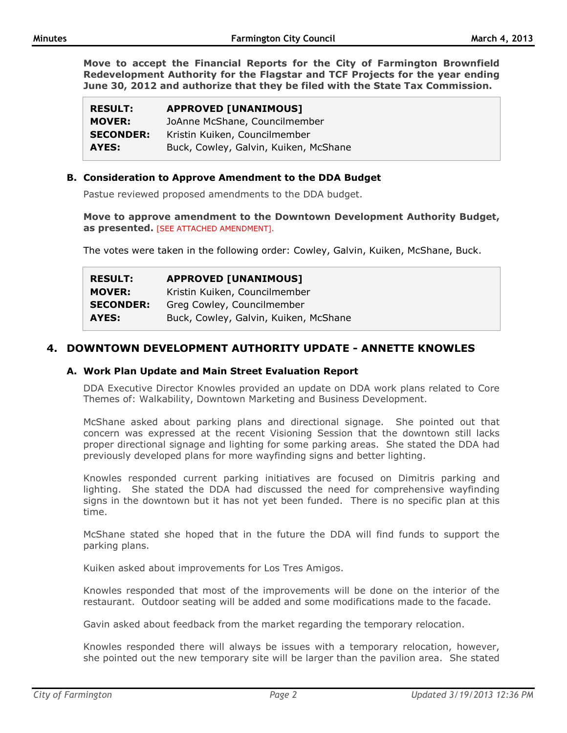**Move to accept the Financial Reports for the City of Farmington Brownfield Redevelopment Authority for the Flagstar and TCF Projects for the year ending June 30, 2012 and authorize that they be filed with the State Tax Commission.**

| <b>RESULT:</b>   | <b>APPROVED [UNANIMOUS]</b>           |
|------------------|---------------------------------------|
| <b>MOVER:</b>    | JoAnne McShane, Councilmember         |
| <b>SECONDER:</b> | Kristin Kuiken, Councilmember         |
| AYES:            | Buck, Cowley, Galvin, Kuiken, McShane |

### **B. Consideration to Approve Amendment to the DDA Budget**

Pastue reviewed proposed amendments to the DDA budget.

**Move to approve amendment to the Downtown Development Authority Budget, as presented.** [SEE ATTACHED AMENDMENT].

The votes were taken in the following order: Cowley, Galvin, Kuiken, McShane, Buck.

| <b>RESULT:</b>   | <b>APPROVED [UNANIMOUS]</b>           |  |
|------------------|---------------------------------------|--|
| <b>MOVER:</b>    | Kristin Kuiken, Councilmember         |  |
| <b>SECONDER:</b> | Greg Cowley, Councilmember            |  |
| AYES:            | Buck, Cowley, Galvin, Kuiken, McShane |  |

# **4. DOWNTOWN DEVELOPMENT AUTHORITY UPDATE - ANNETTE KNOWLES**

### **A. Work Plan Update and Main Street Evaluation Report**

DDA Executive Director Knowles provided an update on DDA work plans related to Core Themes of: Walkability, Downtown Marketing and Business Development.

McShane asked about parking plans and directional signage. She pointed out that concern was expressed at the recent Visioning Session that the downtown still lacks proper directional signage and lighting for some parking areas. She stated the DDA had previously developed plans for more wayfinding signs and better lighting.

Knowles responded current parking initiatives are focused on Dimitris parking and lighting. She stated the DDA had discussed the need for comprehensive wayfinding signs in the downtown but it has not yet been funded. There is no specific plan at this time.

McShane stated she hoped that in the future the DDA will find funds to support the parking plans.

Kuiken asked about improvements for Los Tres Amigos.

Knowles responded that most of the improvements will be done on the interior of the restaurant. Outdoor seating will be added and some modifications made to the facade.

Gavin asked about feedback from the market regarding the temporary relocation.

Knowles responded there will always be issues with a temporary relocation, however, she pointed out the new temporary site will be larger than the pavilion area. She stated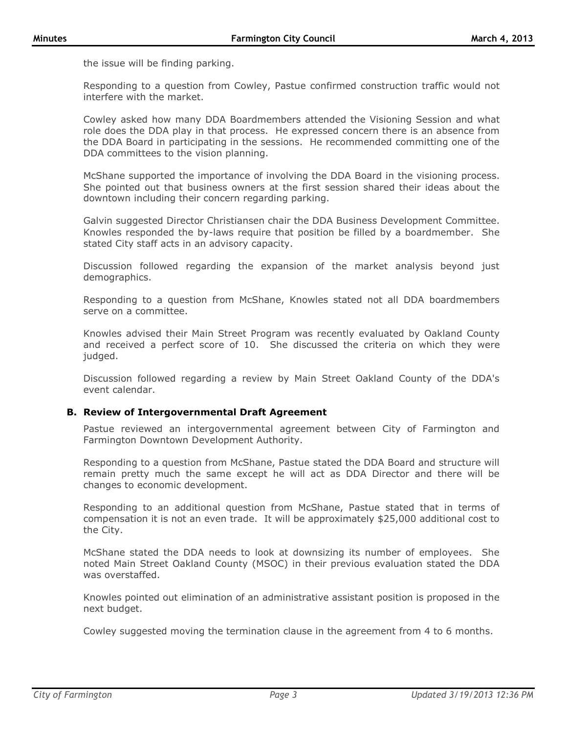the issue will be finding parking.

Responding to a question from Cowley, Pastue confirmed construction traffic would not interfere with the market.

Cowley asked how many DDA Boardmembers attended the Visioning Session and what role does the DDA play in that process. He expressed concern there is an absence from the DDA Board in participating in the sessions. He recommended committing one of the DDA committees to the vision planning.

McShane supported the importance of involving the DDA Board in the visioning process. She pointed out that business owners at the first session shared their ideas about the downtown including their concern regarding parking.

Galvin suggested Director Christiansen chair the DDA Business Development Committee. Knowles responded the by-laws require that position be filled by a boardmember. She stated City staff acts in an advisory capacity.

Discussion followed regarding the expansion of the market analysis beyond just demographics.

Responding to a question from McShane, Knowles stated not all DDA boardmembers serve on a committee.

Knowles advised their Main Street Program was recently evaluated by Oakland County and received a perfect score of 10. She discussed the criteria on which they were judged.

Discussion followed regarding a review by Main Street Oakland County of the DDA's event calendar.

### **B. Review of Intergovernmental Draft Agreement**

Pastue reviewed an intergovernmental agreement between City of Farmington and Farmington Downtown Development Authority.

Responding to a question from McShane, Pastue stated the DDA Board and structure will remain pretty much the same except he will act as DDA Director and there will be changes to economic development.

Responding to an additional question from McShane, Pastue stated that in terms of compensation it is not an even trade. It will be approximately \$25,000 additional cost to the City.

McShane stated the DDA needs to look at downsizing its number of employees. She noted Main Street Oakland County (MSOC) in their previous evaluation stated the DDA was overstaffed.

Knowles pointed out elimination of an administrative assistant position is proposed in the next budget.

Cowley suggested moving the termination clause in the agreement from 4 to 6 months.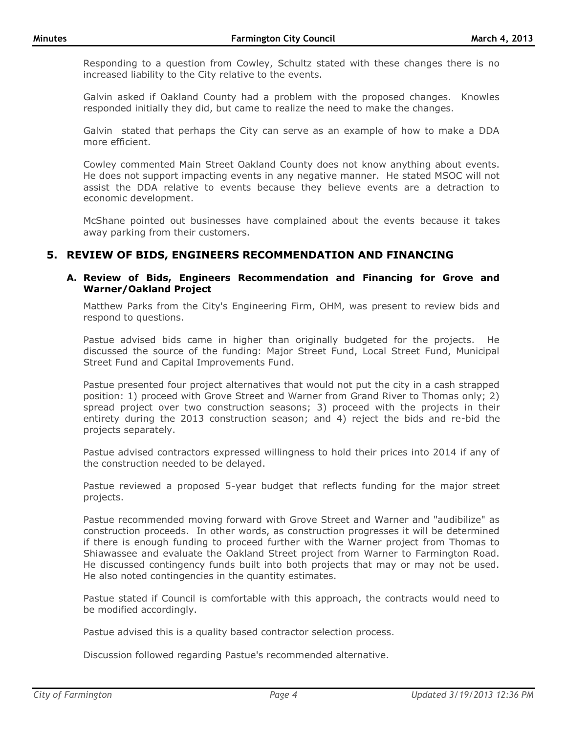Responding to a question from Cowley, Schultz stated with these changes there is no increased liability to the City relative to the events.

Galvin asked if Oakland County had a problem with the proposed changes. Knowles responded initially they did, but came to realize the need to make the changes.

Galvin stated that perhaps the City can serve as an example of how to make a DDA more efficient.

Cowley commented Main Street Oakland County does not know anything about events. He does not support impacting events in any negative manner. He stated MSOC will not assist the DDA relative to events because they believe events are a detraction to economic development.

McShane pointed out businesses have complained about the events because it takes away parking from their customers.

# **5. REVIEW OF BIDS, ENGINEERS RECOMMENDATION AND FINANCING**

### **A. Review of Bids, Engineers Recommendation and Financing for Grove and Warner/Oakland Project**

Matthew Parks from the City's Engineering Firm, OHM, was present to review bids and respond to questions.

Pastue advised bids came in higher than originally budgeted for the projects. He discussed the source of the funding: Major Street Fund, Local Street Fund, Municipal Street Fund and Capital Improvements Fund.

Pastue presented four project alternatives that would not put the city in a cash strapped position: 1) proceed with Grove Street and Warner from Grand River to Thomas only; 2) spread project over two construction seasons; 3) proceed with the projects in their entirety during the 2013 construction season; and 4) reject the bids and re-bid the projects separately.

Pastue advised contractors expressed willingness to hold their prices into 2014 if any of the construction needed to be delayed.

Pastue reviewed a proposed 5-year budget that reflects funding for the major street projects.

Pastue recommended moving forward with Grove Street and Warner and "audibilize" as construction proceeds. In other words, as construction progresses it will be determined if there is enough funding to proceed further with the Warner project from Thomas to Shiawassee and evaluate the Oakland Street project from Warner to Farmington Road. He discussed contingency funds built into both projects that may or may not be used. He also noted contingencies in the quantity estimates.

Pastue stated if Council is comfortable with this approach, the contracts would need to be modified accordingly.

Pastue advised this is a quality based contractor selection process.

Discussion followed regarding Pastue's recommended alternative.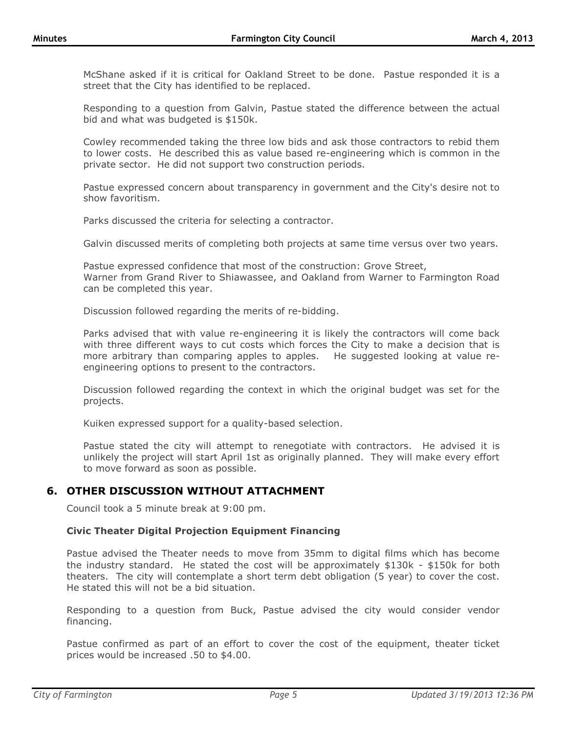McShane asked if it is critical for Oakland Street to be done. Pastue responded it is a street that the City has identified to be replaced.

Responding to a question from Galvin, Pastue stated the difference between the actual bid and what was budgeted is \$150k.

Cowley recommended taking the three low bids and ask those contractors to rebid them to lower costs. He described this as value based re-engineering which is common in the private sector. He did not support two construction periods.

Pastue expressed concern about transparency in government and the City's desire not to show favoritism.

Parks discussed the criteria for selecting a contractor.

Galvin discussed merits of completing both projects at same time versus over two years.

Pastue expressed confidence that most of the construction: Grove Street, Warner from Grand River to Shiawassee, and Oakland from Warner to Farmington Road can be completed this year.

Discussion followed regarding the merits of re-bidding.

Parks advised that with value re-engineering it is likely the contractors will come back with three different ways to cut costs which forces the City to make a decision that is more arbitrary than comparing apples to apples. He suggested looking at value reengineering options to present to the contractors.

Discussion followed regarding the context in which the original budget was set for the projects.

Kuiken expressed support for a quality-based selection.

Pastue stated the city will attempt to renegotiate with contractors. He advised it is unlikely the project will start April 1st as originally planned. They will make every effort to move forward as soon as possible.

# **6. OTHER DISCUSSION WITHOUT ATTACHMENT**

Council took a 5 minute break at 9:00 pm.

### **Civic Theater Digital Projection Equipment Financing**

Pastue advised the Theater needs to move from 35mm to digital films which has become the industry standard. He stated the cost will be approximately \$130k - \$150k for both theaters. The city will contemplate a short term debt obligation (5 year) to cover the cost. He stated this will not be a bid situation.

Responding to a question from Buck, Pastue advised the city would consider vendor financing.

Pastue confirmed as part of an effort to cover the cost of the equipment, theater ticket prices would be increased .50 to \$4.00.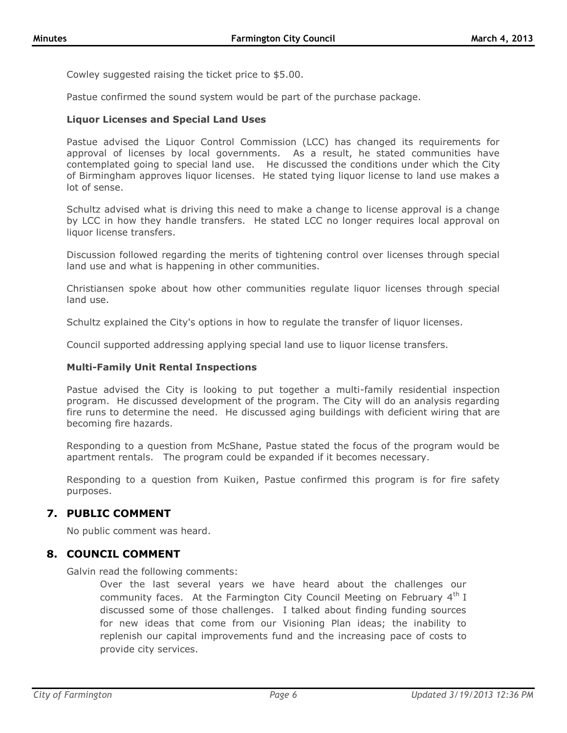Cowley suggested raising the ticket price to \$5.00.

Pastue confirmed the sound system would be part of the purchase package.

### **Liquor Licenses and Special Land Uses**

Pastue advised the Liquor Control Commission (LCC) has changed its requirements for approval of licenses by local governments. As a result, he stated communities have contemplated going to special land use. He discussed the conditions under which the City of Birmingham approves liquor licenses. He stated tying liquor license to land use makes a lot of sense.

Schultz advised what is driving this need to make a change to license approval is a change by LCC in how they handle transfers. He stated LCC no longer requires local approval on liquor license transfers.

Discussion followed regarding the merits of tightening control over licenses through special land use and what is happening in other communities.

Christiansen spoke about how other communities regulate liquor licenses through special land use.

Schultz explained the City's options in how to regulate the transfer of liquor licenses.

Council supported addressing applying special land use to liquor license transfers.

#### **Multi-Family Unit Rental Inspections**

Pastue advised the City is looking to put together a multi-family residential inspection program. He discussed development of the program. The City will do an analysis regarding fire runs to determine the need. He discussed aging buildings with deficient wiring that are becoming fire hazards.

Responding to a question from McShane, Pastue stated the focus of the program would be apartment rentals. The program could be expanded if it becomes necessary.

Responding to a question from Kuiken, Pastue confirmed this program is for fire safety purposes.

## **7. PUBLIC COMMENT**

No public comment was heard.

## **8. COUNCIL COMMENT**

Galvin read the following comments:

Over the last several years we have heard about the challenges our community faces. At the Farmington City Council Meeting on February  $4<sup>th</sup> I$ discussed some of those challenges. I talked about finding funding sources for new ideas that come from our Visioning Plan ideas; the inability to replenish our capital improvements fund and the increasing pace of costs to provide city services.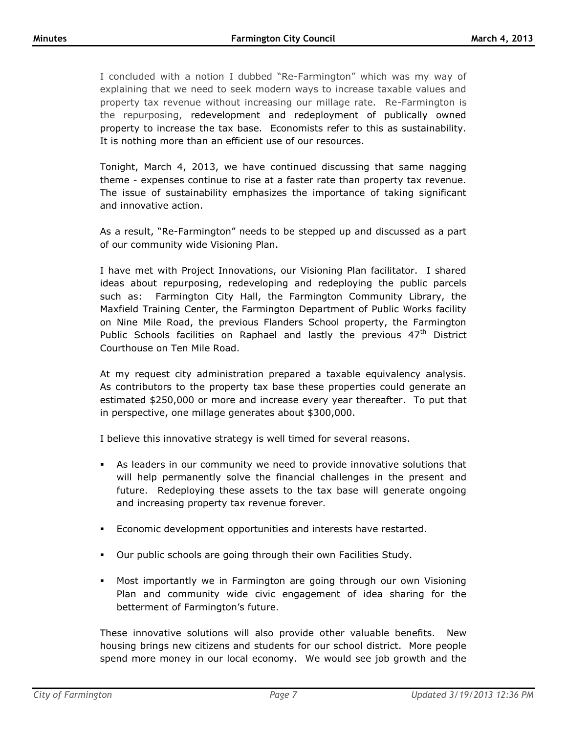I concluded with a notion I dubbed "Re-Farmington" which was my way of explaining that we need to seek modern ways to increase taxable values and property tax revenue without increasing our millage rate. Re-Farmington is the repurposing, redevelopment and redeployment of publically owned property to increase the tax base. Economists refer to this as sustainability. It is nothing more than an efficient use of our resources.

Tonight, March 4, 2013, we have continued discussing that same nagging theme - expenses continue to rise at a faster rate than property tax revenue. The issue of sustainability emphasizes the importance of taking significant and innovative action.

As a result, "Re-Farmington" needs to be stepped up and discussed as a part of our community wide Visioning Plan.

I have met with Project Innovations, our Visioning Plan facilitator. I shared ideas about repurposing, redeveloping and redeploying the public parcels such as: Farmington City Hall, the Farmington Community Library, the Maxfield Training Center, the Farmington Department of Public Works facility on Nine Mile Road, the previous Flanders School property, the Farmington Public Schools facilities on Raphael and lastly the previous  $47<sup>th</sup>$  District Courthouse on Ten Mile Road.

At my request city administration prepared a taxable equivalency analysis. As contributors to the property tax base these properties could generate an estimated \$250,000 or more and increase every year thereafter. To put that in perspective, one millage generates about \$300,000.

I believe this innovative strategy is well timed for several reasons.

- As leaders in our community we need to provide innovative solutions that will help permanently solve the financial challenges in the present and future. Redeploying these assets to the tax base will generate ongoing and increasing property tax revenue forever.
- Economic development opportunities and interests have restarted.
- Our public schools are going through their own Facilities Study.
- Most importantly we in Farmington are going through our own Visioning Plan and community wide civic engagement of idea sharing for the betterment of Farmington's future.

These innovative solutions will also provide other valuable benefits. New housing brings new citizens and students for our school district. More people spend more money in our local economy. We would see job growth and the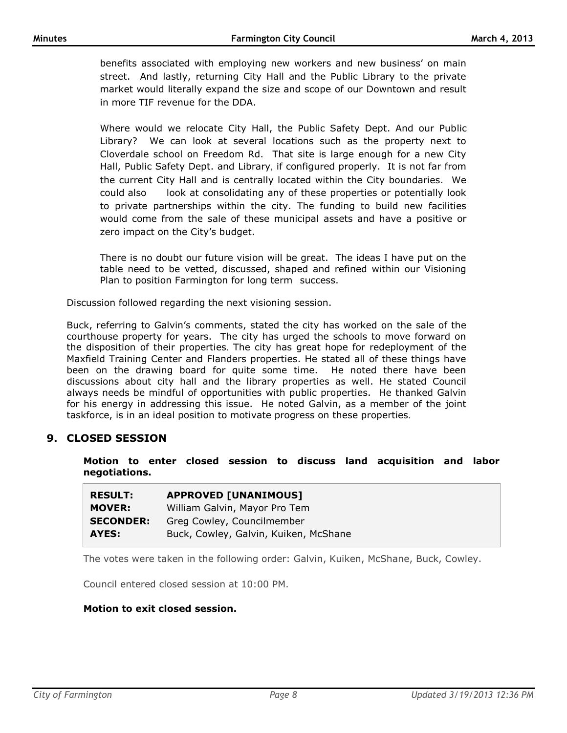benefits associated with employing new workers and new business' on main street. And lastly, returning City Hall and the Public Library to the private market would literally expand the size and scope of our Downtown and result in more TIF revenue for the DDA.

Where would we relocate City Hall, the Public Safety Dept. And our Public Library? We can look at several locations such as the property next to Cloverdale school on Freedom Rd. That site is large enough for a new City Hall, Public Safety Dept. and Library, if configured properly. It is not far from the current City Hall and is centrally located within the City boundaries. We could also look at consolidating any of these properties or potentially look to private partnerships within the city. The funding to build new facilities would come from the sale of these municipal assets and have a positive or zero impact on the City's budget.

There is no doubt our future vision will be great. The ideas I have put on the table need to be vetted, discussed, shaped and refined within our Visioning Plan to position Farmington for long term success.

Discussion followed regarding the next visioning session.

Buck, referring to Galvin's comments, stated the city has worked on the sale of the courthouse property for years. The city has urged the schools to move forward on the disposition of their properties. The city has great hope for redeployment of the Maxfield Training Center and Flanders properties. He stated all of these things have been on the drawing board for quite some time. He noted there have been discussions about city hall and the library properties as well. He stated Council always needs be mindful of opportunities with public properties. He thanked Galvin for his energy in addressing this issue. He noted Galvin, as a member of the joint taskforce, is in an ideal position to motivate progress on these properties.

## **9. CLOSED SESSION**

**Motion to enter closed session to discuss land acquisition and labor negotiations.**

| <b>RESULT:</b>   | <b>APPROVED [UNANIMOUS]</b>           |
|------------------|---------------------------------------|
| <b>MOVER:</b>    | William Galvin, Mayor Pro Tem         |
| <b>SECONDER:</b> | Greg Cowley, Councilmember            |
| AYES:            | Buck, Cowley, Galvin, Kuiken, McShane |

The votes were taken in the following order: Galvin, Kuiken, McShane, Buck, Cowley.

Council entered closed session at 10:00 PM.

### **Motion to exit closed session.**